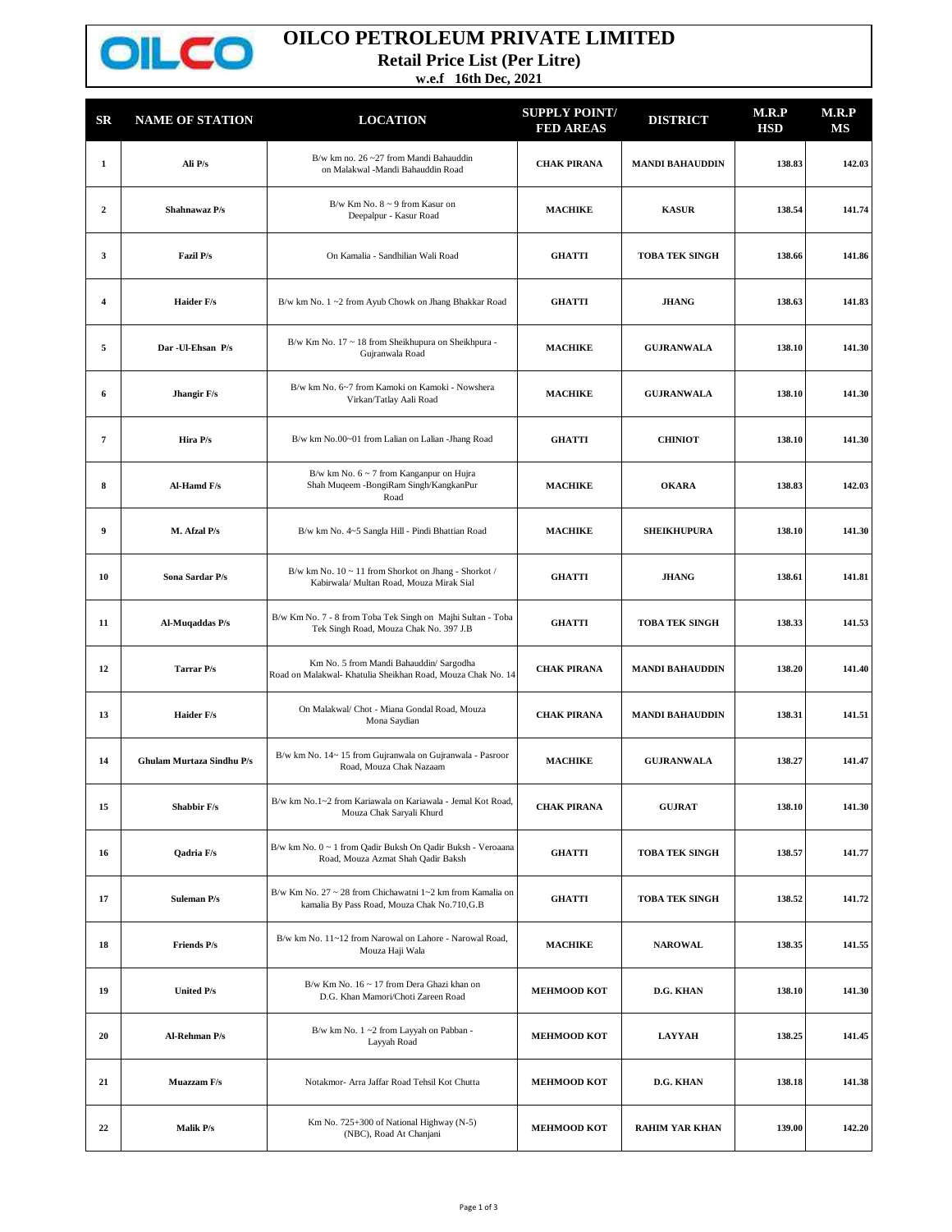

## **OILCO PETROLEUM PRIVATE LIMITED**

**Retail Price List (Per Litre)**

**w.e.f 16th Dec, 2021**

| $_{\rm SR}$    | <b>NAME OF STATION</b>           | <b>LOCATION</b>                                                                                            | <b>SUPPLY POINT/</b><br><b>FED AREAS</b> | <b>DISTRICT</b>        | M.R.P<br><b>HSD</b> | M.R.P<br>MS |
|----------------|----------------------------------|------------------------------------------------------------------------------------------------------------|------------------------------------------|------------------------|---------------------|-------------|
| $\mathbf{1}$   | Ali P/s                          | B/w km no. $26 - 27$ from Mandi Bahauddin<br>on Malakwal -Mandi Bahauddin Road                             | <b>CHAK PIRANA</b>                       | <b>MANDI BAHAUDDIN</b> | 138.83              | 142.03      |
| $\overline{2}$ | Shahnawaz P/s                    | B/w Km No. $8 \sim 9$ from Kasur on<br>Deepalpur - Kasur Road                                              | <b>MACHIKE</b>                           | <b>KASUR</b>           | 138.54              | 141.74      |
| 3              | <b>Fazil P/s</b>                 | On Kamalia - Sandhilian Wali Road                                                                          | <b>GHATTI</b>                            | <b>TOBA TEK SINGH</b>  | 138.66              | 141.86      |
| 4              | <b>Haider F/s</b>                | B/w km No. 1~2 from Ayub Chowk on Jhang Bhakkar Road                                                       | <b>GHATTI</b>                            | <b>JHANG</b>           | 138.63              | 141.83      |
| 5              | Dar - Ul-Ehsan P/s               | B/w Km No. 17 ~ 18 from Sheikhupura on Sheikhpura -<br>Gujranwala Road                                     | <b>MACHIKE</b>                           | <b>GUJRANWALA</b>      | 138.10              | 141.30      |
| 6              | Jhangir F/s                      | B/w km No. 6~7 from Kamoki on Kamoki - Nowshera<br>Virkan/Tatlay Aali Road                                 | <b>MACHIKE</b>                           | <b>GUJRANWALA</b>      | 138.10              | 141.30      |
| 7              | Hira P/s                         | B/w km No.00~01 from Lalian on Lalian -Jhang Road                                                          | <b>GHATTI</b>                            | <b>CHINIOT</b>         | 138.10              | 141.30      |
| 8              | Al-Hamd F/s                      | B/w km No. $6 \sim 7$ from Kanganpur on Hujra<br>Shah Muqeem - BongiRam Singh/KangkanPur<br>Road           | <b>MACHIKE</b>                           | <b>OKARA</b>           | 138.83              | 142.03      |
| 9              | M. Afzal P/s                     | B/w km No. 4~5 Sangla Hill - Pindi Bhattian Road                                                           | <b>MACHIKE</b>                           | <b>SHEIKHUPURA</b>     | 138.10              | 141.30      |
| 10             | Sona Sardar P/s                  | B/w km No. 10 ~ 11 from Shorkot on Jhang - Shorkot /<br>Kabirwala/ Multan Road, Mouza Mirak Sial           | <b>GHATTI</b>                            | <b>JHANG</b>           | 138.61              | 141.81      |
| 11             | Al-Muqaddas P/s                  | B/w Km No. 7 - 8 from Toba Tek Singh on Majhi Sultan - Toba<br>Tek Singh Road, Mouza Chak No. 397 J.B      | <b>GHATTI</b>                            | <b>TOBA TEK SINGH</b>  | 138.33              | 141.53      |
| 12             | <b>Tarrar P/s</b>                | Km No. 5 from Mandi Bahauddin/ Sargodha<br>Road on Malakwal- Khatulia Sheikhan Road, Mouza Chak No. 14     | <b>CHAK PIRANA</b>                       | <b>MANDI BAHAUDDIN</b> | 138.20              | 141.40      |
| 13             | <b>Haider F/s</b>                | On Malakwal/ Chot - Miana Gondal Road, Mouza<br>Mona Saydian                                               | <b>CHAK PIRANA</b>                       | <b>MANDI BAHAUDDIN</b> | 138.31              | 141.51      |
| 14             | <b>Ghulam Murtaza Sindhu P/s</b> | B/w km No. 14~15 from Gujranwala on Gujranwala - Pasroor<br>Road, Mouza Chak Nazaam                        | <b>MACHIKE</b>                           | <b>GUJRANWALA</b>      | 138.27              | 141.47      |
| 15             | <b>Shabbir F/s</b>               | B/w km No.1~2 from Kariawala on Kariawala - Jemal Kot Road,<br>Mouza Chak Saryali Khurd                    | <b>CHAK PIRANA</b>                       | <b>GUJRAT</b>          | 138.10              | 141.30      |
| 16             | Qadria F/s                       | B/w km No. 0 ~ 1 from Qadir Buksh On Qadir Buksh - Veroaana<br>Road, Mouza Azmat Shah Qadir Baksh          | GHATTI                                   | <b>TOBA TEK SINGH</b>  | 138.57              | 141.77      |
| 17             | <b>Suleman P/s</b>               | B/w Km No. 27 ~ 28 from Chichawatni 1~2 km from Kamalia on<br>kamalia By Pass Road, Mouza Chak No.710, G.B | <b>GHATTI</b>                            | <b>TOBA TEK SINGH</b>  | 138.52              | 141.72      |
| 18             | <b>Friends P/s</b>               | B/w km No. 11~12 from Narowal on Lahore - Narowal Road.<br>Mouza Haji Wala                                 | <b>MACHIKE</b>                           | <b>NAROWAL</b>         | 138.35              | 141.55      |
| 19             | <b>United P/s</b>                | B/w Km No. 16 ~ 17 from Dera Ghazi khan on<br>D.G. Khan Mamori/Choti Zareen Road                           | <b>MEHMOOD KOT</b>                       | D.G. KHAN              | 138.10              | 141.30      |
| 20             | Al-Rehman P/s                    | B/w km No. 1~2 from Layyah on Pabban -<br>Layyah Road                                                      | <b>MEHMOOD KOT</b>                       | <b>LAYYAH</b>          | 138.25              | 141.45      |
| 21             | Muazzam F/s                      | Notakmor- Arra Jaffar Road Tehsil Kot Chutta                                                               | <b>MEHMOOD KOT</b>                       | D.G. KHAN              | 138.18              | 141.38      |
| 22             | Malik P/s                        | Km No. 725+300 of National Highway (N-5)<br>(NBC), Road At Chanjani                                        | <b>MEHMOOD KOT</b>                       | <b>RAHIM YAR KHAN</b>  | 139.00              | 142.20      |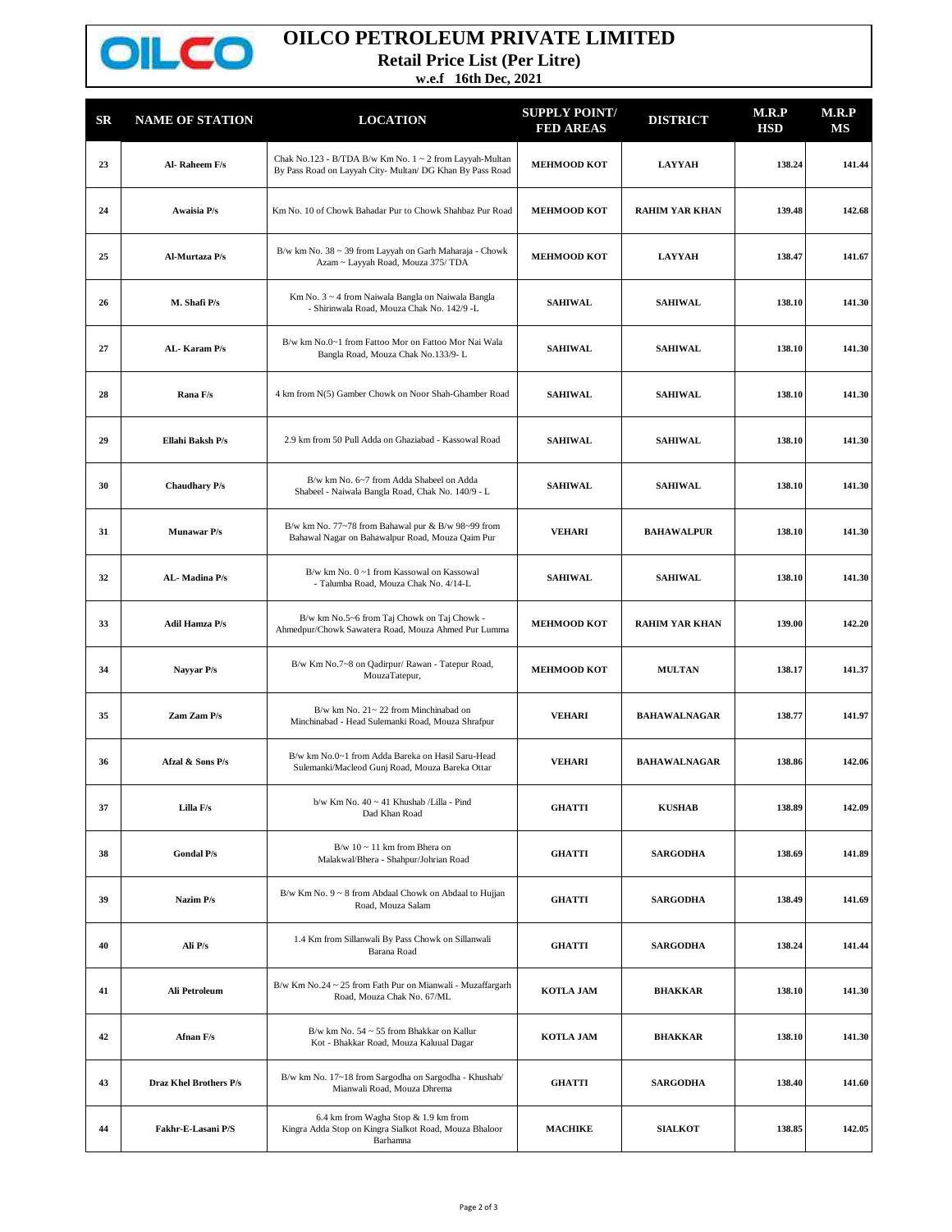

## **OILCO PETROLEUM PRIVATE LIMITED**

**Retail Price List (Per Litre)**

**w.e.f 16th Dec, 2021**

| $_{\rm SR}$ | <b>NAME OF STATION</b> | <b>LOCATION</b>                                                                                                      | <b>SUPPLY POINT/</b><br><b>FED AREAS</b> | <b>DISTRICT</b>       | M.R.P<br><b>HSD</b> | M.R.P<br>MS |
|-------------|------------------------|----------------------------------------------------------------------------------------------------------------------|------------------------------------------|-----------------------|---------------------|-------------|
| 23          | Al-Raheem F/s          | Chak No.123 - B/TDA B/w Km No. 1 ~ 2 from Layyah-Multan<br>By Pass Road on Layyah City- Multan/ DG Khan By Pass Road | <b>MEHMOOD KOT</b>                       | <b>LAYYAH</b>         | 138.24              | 141.44      |
| 24          | <b>Awaisia P/s</b>     | Km No. 10 of Chowk Bahadar Pur to Chowk Shahbaz Pur Road                                                             | <b>MEHMOOD KOT</b>                       | <b>RAHIM YAR KHAN</b> | 139.48              | 142.68      |
| 25          | Al-Murtaza P/s         | B/w km No. 38 ~ 39 from Layyah on Garh Maharaja - Chowk<br>Azam ~ Layyah Road, Mouza 375/ TDA                        | <b>MEHMOOD KOT</b>                       | <b>LAYYAH</b>         | 138.47              | 141.67      |
| 26          | M. Shafi P/s           | Km No. 3 ~ 4 from Naiwala Bangla on Naiwala Bangla<br>- Shirinwala Road, Mouza Chak No. 142/9 -L                     | <b>SAHIWAL</b>                           | <b>SAHIWAL</b>        | 138.10              | 141.30      |
| 27          | AL-Karam P/s           | B/w km No.0~1 from Fattoo Mor on Fattoo Mor Nai Wala<br>Bangla Road, Mouza Chak No.133/9-L                           | <b>SAHIWAL</b>                           | <b>SAHIWAL</b>        | 138.10              | 141.30      |
| 28          | Rana F/s               | 4 km from N(5) Gamber Chowk on Noor Shah-Ghamber Road                                                                | <b>SAHIWAL</b>                           | <b>SAHIWAL</b>        | 138.10              | 141.30      |
| 29          | Ellahi Baksh P/s       | 2.9 km from 50 Pull Adda on Ghaziabad - Kassowal Road                                                                | <b>SAHIWAL</b>                           | <b>SAHIWAL</b>        | 138.10              | 141.30      |
| 30          | <b>Chaudhary P/s</b>   | B/w km No. 6~7 from Adda Shabeel on Adda<br>Shabeel - Naiwala Bangla Road, Chak No. 140/9 - L                        | <b>SAHIWAL</b>                           | <b>SAHIWAL</b>        | 138.10              | 141.30      |
| 31          | <b>Munawar P/s</b>     | B/w km No. 77~78 from Bahawal pur & B/w 98~99 from<br>Bahawal Nagar on Bahawalpur Road, Mouza Qaim Pur               | <b>VEHARI</b>                            | <b>BAHAWALPUR</b>     | 138.10              | 141.30      |
| 32          | AL-Madina P/s          | B/w km No. 0~1 from Kassowal on Kassowal<br>- Talumba Road, Mouza Chak No. 4/14-L                                    | <b>SAHIWAL</b>                           | <b>SAHIWAL</b>        | 138.10              | 141.30      |
| 33          | <b>Adil Hamza P/s</b>  | B/w km No.5~6 from Taj Chowk on Taj Chowk -<br>Ahmedpur/Chowk Sawatera Road, Mouza Ahmed Pur Lumma                   | <b>MEHMOOD KOT</b>                       | <b>RAHIM YAR KHAN</b> | 139.00              | 142.20      |
| 34          | Nayyar P/s             | B/w Km No.7~8 on Qadirpur/ Rawan - Tatepur Road,<br>MouzaTatepur,                                                    | MEHMOOD KOT                              | <b>MULTAN</b>         | 138.17              | 141.37      |
| 35          | Zam Zam P/s            | B/w km No. 21~22 from Minchinabad on<br>Minchinabad - Head Sulemanki Road, Mouza Shrafpur                            | <b>VEHARI</b>                            | <b>BAHAWALNAGAR</b>   | 138.77              | 141.97      |
| 36          | Afzal & Sons P/s       | B/w km No.0~1 from Adda Bareka on Hasil Saru-Head<br>Sulemanki/Macleod Gunj Road, Mouza Bareka Ottar                 | <b>VEHARI</b>                            | <b>BAHAWALNAGAR</b>   | 138.86              | 142.06      |
| 37          | Lilla F/s              | b/w Km No. 40 ~ 41 Khushab /Lilla - Pind<br>Dad Khan Road                                                            | <b>GHATTI</b>                            | <b>KUSHAB</b>         | 138.89              | 142.09      |
| 38          | <b>Gondal P/s</b>      | $B/w$ 10 ~ 11 km from Bhera on<br>Malakwal/Bhera - Shahpur/Johrian Road                                              | <b>GHATTI</b>                            | <b>SARGODHA</b>       | 138.69              | 141.89      |
| 39          | Nazim P/s              | B/w Km No. 9 ~ 8 from Abdaal Chowk on Abdaal to Hujjan<br>Road, Mouza Salam                                          | <b>GHATTI</b>                            | <b>SARGODHA</b>       | 138.49              | 141.69      |
| 40          | Ali P/s                | 1.4 Km from Sillanwali By Pass Chowk on Sillanwali<br>Barana Road                                                    | <b>GHATTI</b>                            | <b>SARGODHA</b>       | 138.24              | 141.44      |
| 41          | Ali Petroleum          | B/w Km No.24 ~ 25 from Fath Pur on Mianwali - Muzaffargarh<br>Road, Mouza Chak No. 67/ML                             | <b>KOTLA JAM</b>                         | <b>BHAKKAR</b>        | 138.10              | 141.30      |
| 42          | Afnan F/s              | B/w km No. 54 ~ 55 from Bhakkar on Kallur<br>Kot - Bhakkar Road, Mouza Kaluual Dagar                                 | <b>KOTLA JAM</b>                         | <b>BHAKKAR</b>        | 138.10              | 141.30      |
| 43          | Draz Khel Brothers P/s | B/w km No. 17~18 from Sargodha on Sargodha - Khushab/<br>Mianwali Road, Mouza Dhrema                                 | <b>GHATTI</b>                            | <b>SARGODHA</b>       | 138.40              | 141.60      |
| 44          | Fakhr-E-Lasani P/S     | 6.4 km from Wagha Stop & 1.9 km from<br>Kingra Adda Stop on Kingra Sialkot Road, Mouza Bhaloor<br>Barhamna           | <b>MACHIKE</b>                           | <b>SIALKOT</b>        | 138.85              | 142.05      |